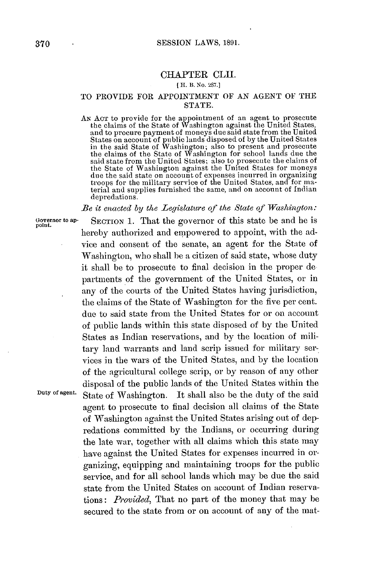## CHAPTER **CLII.**

## **( H. B.** No. **287.]**

## TO PROVIDE FOR **APPOINTMENT** OF **AN AGENT** OF THE **STATE.**

**AN ACT** to provide for the appointment of an agent to prosecute the claims of the State of Washington against the United States, and to procure payment of moneys due said state from the United States on account of public lands disposed of **by** the United States in the said State of Washington; also to present and prosecute the claims of the State of Washington for school lands due the said state from the United States; also to prosecute the claims of the State of Washington against the United States for moneys due the said state on account of expenses incurred in organizing troops for the military service of the United States, and for material and supplies furnished the same, and on account of Indian depredations.

*Be it enacted by the Legislature of the State of Washington:*

**Governor to ap- SECTION 1.** That the governor of this state be and he is **point.** hereby authorized and empowered to appoint, with the advice and consent of the senate, an agent for the State of Washington, who shall be a citizen of said state, whose duty it shall be to prosecute to final decision in the proper **de** partments of the government of the United States, or in any of the courts of the United States having jurisdiction, the claims of the State of Washington for the five per cent. due to said state from the United States for or on account of public lands within this state disposed of **by** the United States as Indian reservations, and **by** the location of military land warrants and land scrip issued for military services in the wars of the United States, and **by** the location of the agricultural college scrip, or **by** reason of any other disposal of the public lands of the United States within the **Duty of agent.** State of Washington. It shall also be the duty of the said agent to prosecute to final decision **all** claims of the State of Washington against the United States arising out of depredations committed **by** the Indians, or occurring during the late war, together with **all** claims which this state may have against the United States for expenses incurred in organizing, equipping and maintaining troops for the public service, and for all school lands which may be due the said state from the United States on account of Indian reservations: *Provided,* That no part of the money that may be secured to the state from or on account of any of the mat-